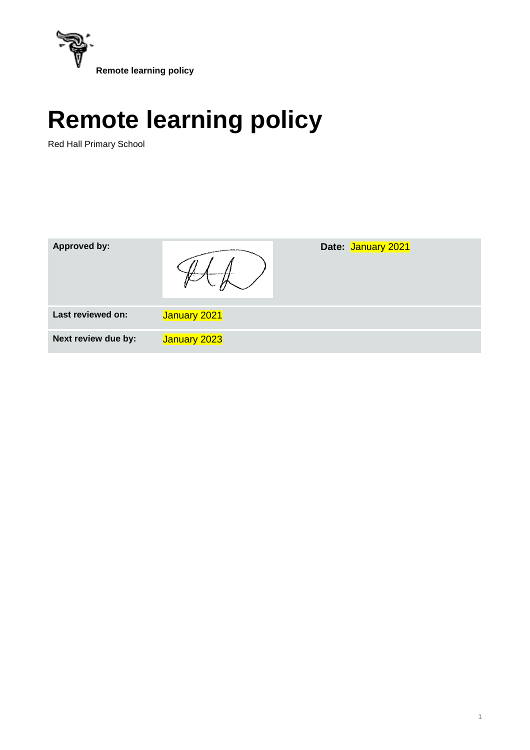

Red Hall Primary School

| <b>Approved by:</b> |              | Date: January 2021 |
|---------------------|--------------|--------------------|
| Last reviewed on:   | January 2021 |                    |
| Next review due by: | January 2023 |                    |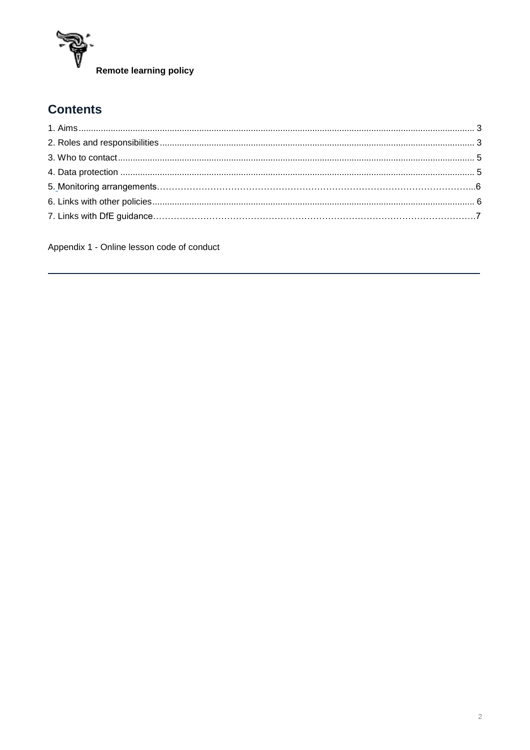

# **Contents**

<span id="page-1-0"></span>Appendix 1 - Online lesson code of conduct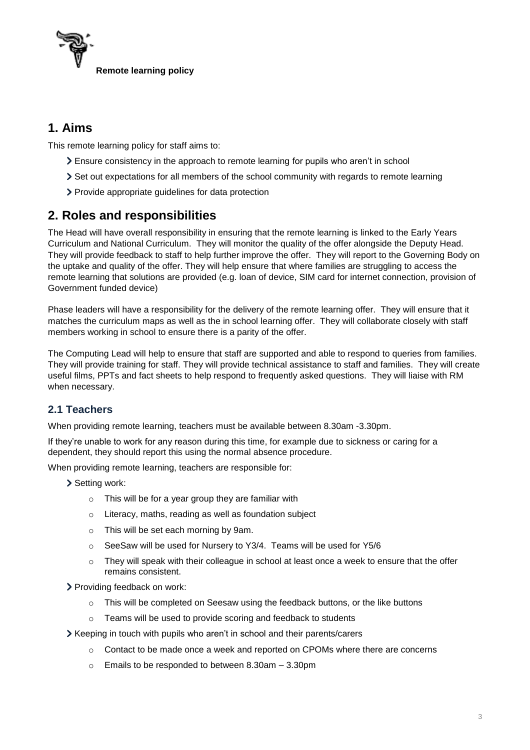

# **1. Aims**

This remote learning policy for staff aims to:

- Ensure consistency in the approach to remote learning for pupils who aren't in school
- Set out expectations for all members of the school community with regards to remote learning
- Provide appropriate guidelines for data protection

# <span id="page-2-0"></span>**2. Roles and responsibilities**

The Head will have overall responsibility in ensuring that the remote learning is linked to the Early Years Curriculum and National Curriculum. They will monitor the quality of the offer alongside the Deputy Head. They will provide feedback to staff to help further improve the offer. They will report to the Governing Body on the uptake and quality of the offer. They will help ensure that where families are struggling to access the remote learning that solutions are provided (e.g. loan of device, SIM card for internet connection, provision of Government funded device)

Phase leaders will have a responsibility for the delivery of the remote learning offer. They will ensure that it matches the curriculum maps as well as the in school learning offer. They will collaborate closely with staff members working in school to ensure there is a parity of the offer.

The Computing Lead will help to ensure that staff are supported and able to respond to queries from families. They will provide training for staff. They will provide technical assistance to staff and families. They will create useful films, PPTs and fact sheets to help respond to frequently asked questions. They will liaise with RM when necessary.

# **2.1 Teachers**

When providing remote learning, teachers must be available between 8.30am -3.30pm.

If they're unable to work for any reason during this time, for example due to sickness or caring for a dependent, they should report this using the normal absence procedure.

When providing remote learning, teachers are responsible for:

- > Setting work:
	- o This will be for a year group they are familiar with
	- o Literacy, maths, reading as well as foundation subject
	- o This will be set each morning by 9am.
	- o SeeSaw will be used for Nursery to Y3/4. Teams will be used for Y5/6
	- $\circ$  They will speak with their colleague in school at least once a week to ensure that the offer remains consistent.
- Providing feedback on work:
	- $\circ$  This will be completed on Seesaw using the feedback buttons, or the like buttons
	- o Teams will be used to provide scoring and feedback to students
- Keeping in touch with pupils who aren't in school and their parents/carers
	- o Contact to be made once a week and reported on CPOMs where there are concerns
	- o Emails to be responded to between 8.30am 3.30pm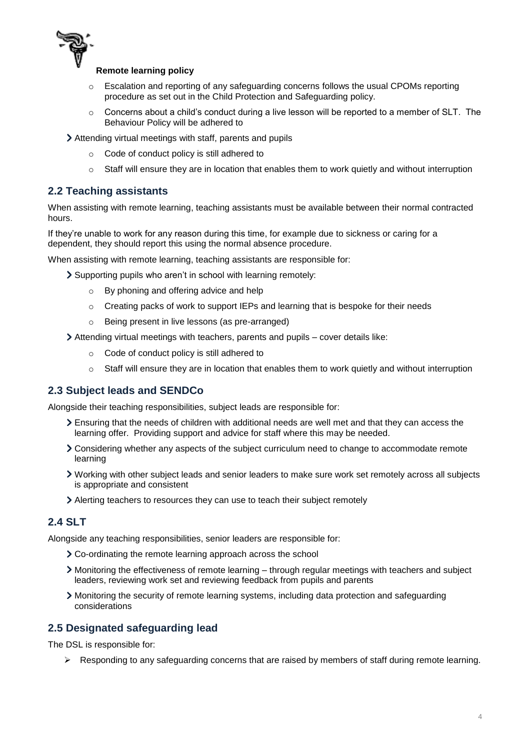

- Escalation and reporting of any safeguarding concerns follows the usual CPOMs reporting procedure as set out in the Child Protection and Safeguarding policy.
- $\circ$  Concerns about a child's conduct during a live lesson will be reported to a member of SLT. The Behaviour Policy will be adhered to
- Attending virtual meetings with staff, parents and pupils
	- o Code of conduct policy is still adhered to
	- $\circ$  Staff will ensure they are in location that enables them to work quietly and without interruption

## **2.2 Teaching assistants**

When assisting with remote learning, teaching assistants must be available between their normal contracted hours.

If they're unable to work for any reason during this time, for example due to sickness or caring for a dependent, they should report this using the normal absence procedure.

When assisting with remote learning, teaching assistants are responsible for:

- Supporting pupils who aren't in school with learning remotely:
	- o By phoning and offering advice and help
	- o Creating packs of work to support IEPs and learning that is bespoke for their needs
	- o Being present in live lessons (as pre-arranged)
- Attending virtual meetings with teachers, parents and pupils cover details like:
	- o Code of conduct policy is still adhered to
	- $\circ$  Staff will ensure they are in location that enables them to work quietly and without interruption

#### **2.3 Subject leads and SENDCo**

Alongside their teaching responsibilities, subject leads are responsible for:

- Ensuring that the needs of children with additional needs are well met and that they can access the learning offer. Providing support and advice for staff where this may be needed.
- Considering whether any aspects of the subject curriculum need to change to accommodate remote learning
- Working with other subject leads and senior leaders to make sure work set remotely across all subjects is appropriate and consistent
- Alerting teachers to resources they can use to teach their subject remotely

## **2.4 SLT**

Alongside any teaching responsibilities, senior leaders are responsible for:

- Co-ordinating the remote learning approach across the school
- Monitoring the effectiveness of remote learning through regular meetings with teachers and subject leaders, reviewing work set and reviewing feedback from pupils and parents
- Monitoring the security of remote learning systems, including data protection and safeguarding considerations

## **2.5 Designated safeguarding lead**

The DSL is responsible for:

 $\triangleright$  Responding to any safeguarding concerns that are raised by members of staff during remote learning.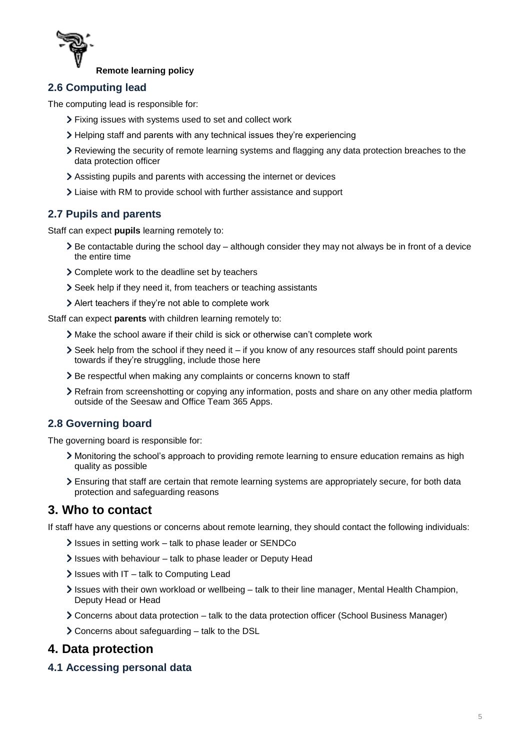

# **2.6 Computing lead**

The computing lead is responsible for:

- Fixing issues with systems used to set and collect work
- Helping staff and parents with any technical issues they're experiencing
- Reviewing the security of remote learning systems and flagging any data protection breaches to the data protection officer
- Assisting pupils and parents with accessing the internet or devices
- Liaise with RM to provide school with further assistance and support

# **2.7 Pupils and parents**

Staff can expect **pupils** learning remotely to:

- Be contactable during the school day although consider they may not always be in front of a device the entire time
- Complete work to the deadline set by teachers
- Seek help if they need it, from teachers or teaching assistants
- Alert teachers if they're not able to complete work

Staff can expect **parents** with children learning remotely to:

- Make the school aware if their child is sick or otherwise can't complete work
- Seek help from the school if they need it if you know of any resources staff should point parents towards if they're struggling, include those here
- > Be respectful when making any complaints or concerns known to staff
- Refrain from screenshotting or copying any information, posts and share on any other media platform outside of the Seesaw and Office Team 365 Apps.

# **2.8 Governing board**

The governing board is responsible for:

- Monitoring the school's approach to providing remote learning to ensure education remains as high quality as possible
- Ensuring that staff are certain that remote learning systems are appropriately secure, for both data protection and safeguarding reasons

# <span id="page-4-0"></span>**3. Who to contact**

If staff have any questions or concerns about remote learning, they should contact the following individuals:

- Issues in setting work talk to phase leader or SENDCo
- Issues with behaviour talk to phase leader or Deputy Head
- $\sum$  Issues with IT talk to Computing Lead
- Issues with their own workload or wellbeing talk to their line manager, Mental Health Champion, Deputy Head or Head
- Concerns about data protection talk to the data protection officer (School Business Manager)
- Concerns about safeguarding talk to the DSL

# <span id="page-4-1"></span>**4. Data protection**

#### **4.1 Accessing personal data**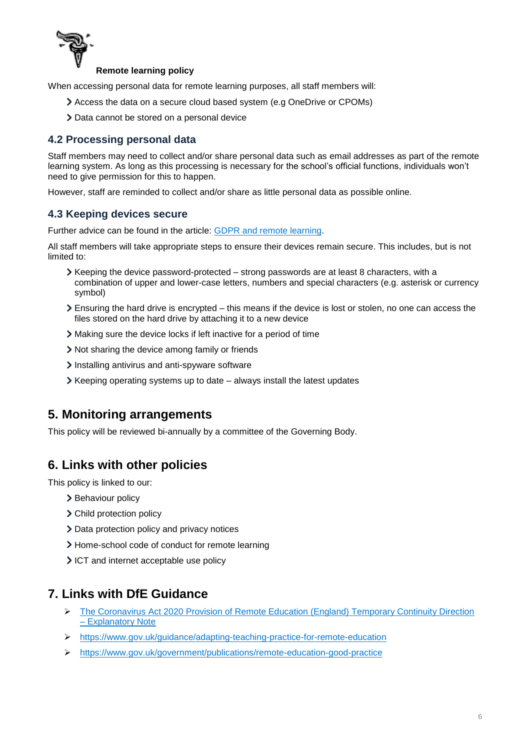

When accessing personal data for remote learning purposes, all staff members will:

- Access the data on a secure cloud based system (e.g OneDrive or CPOMs)
- > Data cannot be stored on a personal device

## **4.2 Processing personal data**

Staff members may need to collect and/or share personal data such as email addresses as part of the remote learning system. As long as this processing is necessary for the school's official functions, individuals won't need to give permission for this to happen.

However, staff are reminded to collect and/or share as little personal data as possible online.

## **4.3 Keeping devices secure**

Further advice can be found in the article: [GDPR and remote learning.](https://schoolleaders.thekeysupport.com/uid/a4f9d627-575d-45f5-9367-040b246c213c/)

All staff members will take appropriate steps to ensure their devices remain secure. This includes, but is not limited to:

- $\blacktriangleright$  Keeping the device password-protected strong passwords are at least 8 characters, with a combination of upper and lower-case letters, numbers and special characters (e.g. asterisk or currency symbol)
- Ensuring the hard drive is encrypted this means if the device is lost or stolen, no one can access the files stored on the hard drive by attaching it to a new device
- Making sure the device locks if left inactive for a period of time
- Not sharing the device among family or friends
- > Installing antivirus and anti-spyware software
- $\triangleright$  Keeping operating systems up to date always install the latest updates

# <span id="page-5-0"></span>**5. Monitoring arrangements**

This policy will be reviewed bi-annually by a committee of the Governing Body.

# <span id="page-5-1"></span>**6. Links with other policies**

This policy is linked to our:

- > Behaviour policy
- > Child protection policy
- > Data protection policy and privacy notices
- Home-school code of conduct for remote learning
- ICT and internet acceptable use policy

# **7. Links with DfE Guidance**

- [The Coronavirus Act 2020 Provision of Remote Education \(England\) Temporary Continuity Direction](https://assets.publishing.service.gov.uk/government/uploads/system/uploads/attachment_data/file/923539/Remote_Education_Temporary_Continuity_Direction_-__Explanatory_Note.pdf)  – [Explanatory Note](https://assets.publishing.service.gov.uk/government/uploads/system/uploads/attachment_data/file/923539/Remote_Education_Temporary_Continuity_Direction_-__Explanatory_Note.pdf)
- <https://www.gov.uk/guidance/adapting-teaching-practice-for-remote-education>
- <https://www.gov.uk/government/publications/remote-education-good-practice>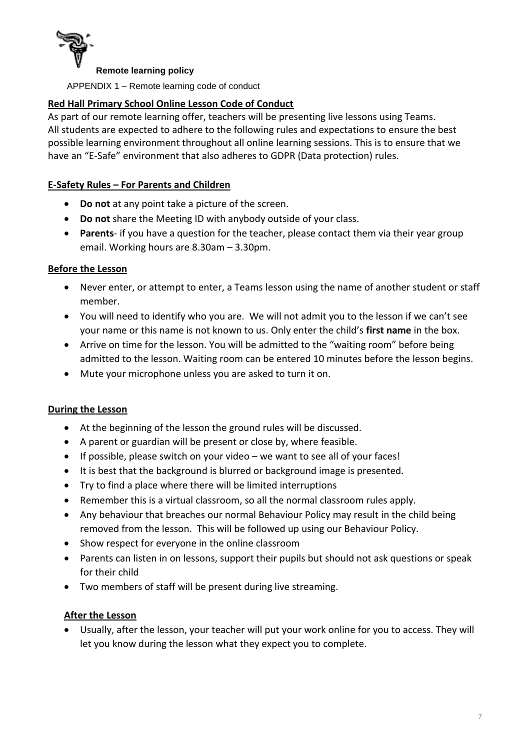

APPENDIX 1 – Remote learning code of conduct

## **Red Hall Primary School Online Lesson Code of Conduct**

As part of our remote learning offer, teachers will be presenting live lessons using Teams. All students are expected to adhere to the following rules and expectations to ensure the best possible learning environment throughout all online learning sessions. This is to ensure that we have an "E-Safe" environment that also adheres to GDPR (Data protection) rules.

#### **E-Safety Rules – For Parents and Children**

- **Do not** at any point take a picture of the screen.
- **Do not** share the Meeting ID with anybody outside of your class.
- **Parents** if you have a question for the teacher, please contact them via their year group email. Working hours are 8.30am – 3.30pm.

#### **Before the Lesson**

- Never enter, or attempt to enter, a Teams lesson using the name of another student or staff member.
- You will need to identify who you are. We will not admit you to the lesson if we can't see your name or this name is not known to us. Only enter the child's **first name** in the box.
- Arrive on time for the lesson. You will be admitted to the "waiting room" before being admitted to the lesson. Waiting room can be entered 10 minutes before the lesson begins.
- Mute your microphone unless you are asked to turn it on.

#### **During the Lesson**

- At the beginning of the lesson the ground rules will be discussed.
- A parent or guardian will be present or close by, where feasible.
- If possible, please switch on your video we want to see all of your faces!
- It is best that the background is blurred or background image is presented.
- Try to find a place where there will be limited interruptions
- Remember this is a virtual classroom, so all the normal classroom rules apply.
- Any behaviour that breaches our normal Behaviour Policy may result in the child being removed from the lesson. This will be followed up using our Behaviour Policy.
- Show respect for everyone in the online classroom
- Parents can listen in on lessons, support their pupils but should not ask questions or speak for their child
- Two members of staff will be present during live streaming.

#### **After the Lesson**

 Usually, after the lesson, your teacher will put your work online for you to access. They will let you know during the lesson what they expect you to complete.